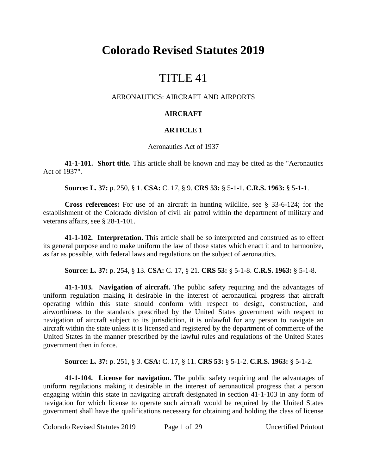# **Colorado Revised Statutes 2019**

# TITLE 41

## AERONAUTICS: AIRCRAFT AND AIRPORTS

## **AIRCRAFT**

## **ARTICLE 1**

#### Aeronautics Act of 1937

**41-1-101. Short title.** This article shall be known and may be cited as the "Aeronautics Act of 1937".

**Source: L. 37:** p. 250, § 1. **CSA:** C. 17, § 9. **CRS 53:** § 5-1-1. **C.R.S. 1963:** § 5-1-1.

**Cross references:** For use of an aircraft in hunting wildlife, see § 33-6-124; for the establishment of the Colorado division of civil air patrol within the department of military and veterans affairs, see § 28-1-101.

**41-1-102. Interpretation.** This article shall be so interpreted and construed as to effect its general purpose and to make uniform the law of those states which enact it and to harmonize, as far as possible, with federal laws and regulations on the subject of aeronautics.

**Source: L. 37:** p. 254, § 13. **CSA:** C. 17, § 21. **CRS 53:** § 5-1-8. **C.R.S. 1963:** § 5-1-8.

**41-1-103. Navigation of aircraft.** The public safety requiring and the advantages of uniform regulation making it desirable in the interest of aeronautical progress that aircraft operating within this state should conform with respect to design, construction, and airworthiness to the standards prescribed by the United States government with respect to navigation of aircraft subject to its jurisdiction, it is unlawful for any person to navigate an aircraft within the state unless it is licensed and registered by the department of commerce of the United States in the manner prescribed by the lawful rules and regulations of the United States government then in force.

**Source: L. 37:** p. 251, § 3. **CSA:** C. 17, § 11. **CRS 53:** § 5-1-2. **C.R.S. 1963:** § 5-1-2.

**41-1-104. License for navigation.** The public safety requiring and the advantages of uniform regulations making it desirable in the interest of aeronautical progress that a person engaging within this state in navigating aircraft designated in section 41-1-103 in any form of navigation for which license to operate such aircraft would be required by the United States government shall have the qualifications necessary for obtaining and holding the class of license

Colorado Revised Statutes 2019 Page 1 of 29 Uncertified Printout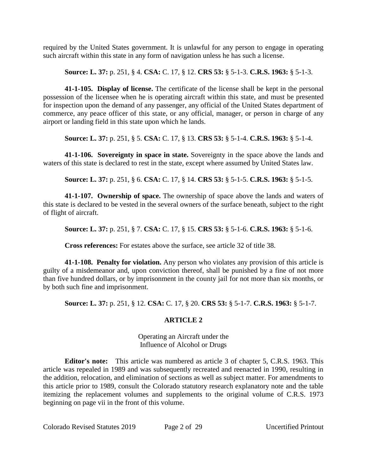required by the United States government. It is unlawful for any person to engage in operating such aircraft within this state in any form of navigation unless he has such a license.

**Source: L. 37:** p. 251, § 4. **CSA:** C. 17, § 12. **CRS 53:** § 5-1-3. **C.R.S. 1963:** § 5-1-3.

**41-1-105. Display of license.** The certificate of the license shall be kept in the personal possession of the licensee when he is operating aircraft within this state, and must be presented for inspection upon the demand of any passenger, any official of the United States department of commerce, any peace officer of this state, or any official, manager, or person in charge of any airport or landing field in this state upon which he lands.

**Source: L. 37:** p. 251, § 5. **CSA:** C. 17, § 13. **CRS 53:** § 5-1-4. **C.R.S. 1963:** § 5-1-4.

**41-1-106. Sovereignty in space in state.** Sovereignty in the space above the lands and waters of this state is declared to rest in the state, except where assumed by United States law.

**Source: L. 37:** p. 251, § 6. **CSA:** C. 17, § 14. **CRS 53:** § 5-1-5. **C.R.S. 1963:** § 5-1-5.

**41-1-107. Ownership of space.** The ownership of space above the lands and waters of this state is declared to be vested in the several owners of the surface beneath, subject to the right of flight of aircraft.

**Source: L. 37:** p. 251, § 7. **CSA:** C. 17, § 15. **CRS 53:** § 5-1-6. **C.R.S. 1963:** § 5-1-6.

**Cross references:** For estates above the surface, see article 32 of title 38.

**41-1-108. Penalty for violation.** Any person who violates any provision of this article is guilty of a misdemeanor and, upon conviction thereof, shall be punished by a fine of not more than five hundred dollars, or by imprisonment in the county jail for not more than six months, or by both such fine and imprisonment.

**Source: L. 37:** p. 251, § 12. **CSA:** C. 17, § 20. **CRS 53:** § 5-1-7. **C.R.S. 1963:** § 5-1-7.

# **ARTICLE 2**

Operating an Aircraft under the Influence of Alcohol or Drugs

**Editor's note:** This article was numbered as article 3 of chapter 5, C.R.S. 1963. This article was repealed in 1989 and was subsequently recreated and reenacted in 1990, resulting in the addition, relocation, and elimination of sections as well as subject matter. For amendments to this article prior to 1989, consult the Colorado statutory research explanatory note and the table itemizing the replacement volumes and supplements to the original volume of C.R.S. 1973 beginning on page vii in the front of this volume.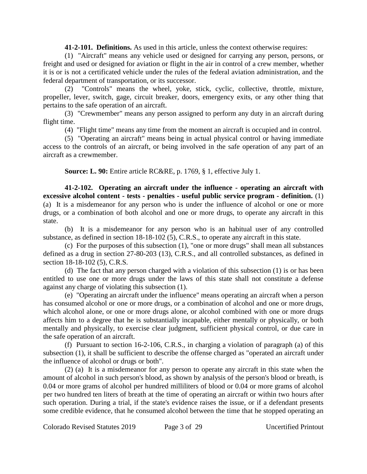**41-2-101. Definitions.** As used in this article, unless the context otherwise requires:

(1) "Aircraft" means any vehicle used or designed for carrying any person, persons, or freight and used or designed for aviation or flight in the air in control of a crew member, whether it is or is not a certificated vehicle under the rules of the federal aviation administration, and the federal department of transportation, or its successor.

(2) "Controls" means the wheel, yoke, stick, cyclic, collective, throttle, mixture, propeller, lever, switch, gage, circuit breaker, doors, emergency exits, or any other thing that pertains to the safe operation of an aircraft.

(3) "Crewmember" means any person assigned to perform any duty in an aircraft during flight time.

(4) "Flight time" means any time from the moment an aircraft is occupied and in control.

(5) "Operating an aircraft" means being in actual physical control or having immediate access to the controls of an aircraft, or being involved in the safe operation of any part of an aircraft as a crewmember.

**Source: L. 90:** Entire article RC&RE, p. 1769, § 1, effective July 1.

**41-2-102. Operating an aircraft under the influence - operating an aircraft with excessive alcohol content - tests - penalties - useful public service program - definition.** (1) (a) It is a misdemeanor for any person who is under the influence of alcohol or one or more drugs, or a combination of both alcohol and one or more drugs, to operate any aircraft in this state.

(b) It is a misdemeanor for any person who is an habitual user of any controlled substance, as defined in section 18-18-102 (5), C.R.S., to operate any aircraft in this state.

(c) For the purposes of this subsection (1), "one or more drugs" shall mean all substances defined as a drug in section 27-80-203 (13), C.R.S., and all controlled substances, as defined in section 18-18-102 (5), C.R.S.

(d) The fact that any person charged with a violation of this subsection (1) is or has been entitled to use one or more drugs under the laws of this state shall not constitute a defense against any charge of violating this subsection (1).

(e) "Operating an aircraft under the influence" means operating an aircraft when a person has consumed alcohol or one or more drugs, or a combination of alcohol and one or more drugs, which alcohol alone, or one or more drugs alone, or alcohol combined with one or more drugs affects him to a degree that he is substantially incapable, either mentally or physically, or both mentally and physically, to exercise clear judgment, sufficient physical control, or due care in the safe operation of an aircraft.

(f) Pursuant to section 16-2-106, C.R.S., in charging a violation of paragraph (a) of this subsection (1), it shall be sufficient to describe the offense charged as "operated an aircraft under the influence of alcohol or drugs or both".

(2) (a) It is a misdemeanor for any person to operate any aircraft in this state when the amount of alcohol in such person's blood, as shown by analysis of the person's blood or breath, is 0.04 or more grams of alcohol per hundred milliliters of blood or 0.04 or more grams of alcohol per two hundred ten liters of breath at the time of operating an aircraft or within two hours after such operation. During a trial, if the state's evidence raises the issue, or if a defendant presents some credible evidence, that he consumed alcohol between the time that he stopped operating an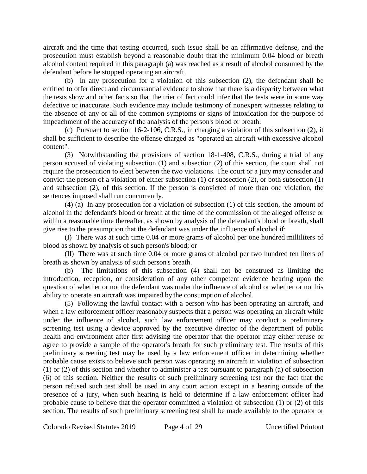aircraft and the time that testing occurred, such issue shall be an affirmative defense, and the prosecution must establish beyond a reasonable doubt that the minimum 0.04 blood or breath alcohol content required in this paragraph (a) was reached as a result of alcohol consumed by the defendant before he stopped operating an aircraft.

(b) In any prosecution for a violation of this subsection (2), the defendant shall be entitled to offer direct and circumstantial evidence to show that there is a disparity between what the tests show and other facts so that the trier of fact could infer that the tests were in some way defective or inaccurate. Such evidence may include testimony of nonexpert witnesses relating to the absence of any or all of the common symptoms or signs of intoxication for the purpose of impeachment of the accuracy of the analysis of the person's blood or breath.

(c) Pursuant to section 16-2-106, C.R.S., in charging a violation of this subsection (2), it shall be sufficient to describe the offense charged as "operated an aircraft with excessive alcohol content".

(3) Notwithstanding the provisions of section 18-1-408, C.R.S., during a trial of any person accused of violating subsection (1) and subsection (2) of this section, the court shall not require the prosecution to elect between the two violations. The court or a jury may consider and convict the person of a violation of either subsection (1) or subsection (2), or both subsection (1) and subsection (2), of this section. If the person is convicted of more than one violation, the sentences imposed shall run concurrently.

(4) (a) In any prosecution for a violation of subsection (1) of this section, the amount of alcohol in the defendant's blood or breath at the time of the commission of the alleged offense or within a reasonable time thereafter, as shown by analysis of the defendant's blood or breath, shall give rise to the presumption that the defendant was under the influence of alcohol if:

(I) There was at such time 0.04 or more grams of alcohol per one hundred milliliters of blood as shown by analysis of such person's blood; or

(II) There was at such time 0.04 or more grams of alcohol per two hundred ten liters of breath as shown by analysis of such person's breath.

(b) The limitations of this subsection (4) shall not be construed as limiting the introduction, reception, or consideration of any other competent evidence bearing upon the question of whether or not the defendant was under the influence of alcohol or whether or not his ability to operate an aircraft was impaired by the consumption of alcohol.

(5) Following the lawful contact with a person who has been operating an aircraft, and when a law enforcement officer reasonably suspects that a person was operating an aircraft while under the influence of alcohol, such law enforcement officer may conduct a preliminary screening test using a device approved by the executive director of the department of public health and environment after first advising the operator that the operator may either refuse or agree to provide a sample of the operator's breath for such preliminary test. The results of this preliminary screening test may be used by a law enforcement officer in determining whether probable cause exists to believe such person was operating an aircraft in violation of subsection (1) or (2) of this section and whether to administer a test pursuant to paragraph (a) of subsection (6) of this section. Neither the results of such preliminary screening test nor the fact that the person refused such test shall be used in any court action except in a hearing outside of the presence of a jury, when such hearing is held to determine if a law enforcement officer had probable cause to believe that the operator committed a violation of subsection (1) or (2) of this section. The results of such preliminary screening test shall be made available to the operator or

Colorado Revised Statutes 2019 Page 4 of 29 Uncertified Printout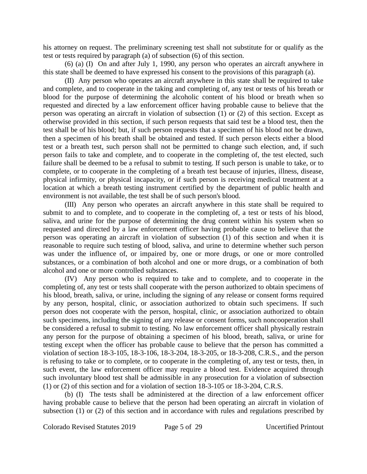his attorney on request. The preliminary screening test shall not substitute for or qualify as the test or tests required by paragraph (a) of subsection (6) of this section.

(6) (a) (I) On and after July 1, 1990, any person who operates an aircraft anywhere in this state shall be deemed to have expressed his consent to the provisions of this paragraph (a).

(II) Any person who operates an aircraft anywhere in this state shall be required to take and complete, and to cooperate in the taking and completing of, any test or tests of his breath or blood for the purpose of determining the alcoholic content of his blood or breath when so requested and directed by a law enforcement officer having probable cause to believe that the person was operating an aircraft in violation of subsection (1) or (2) of this section. Except as otherwise provided in this section, if such person requests that said test be a blood test, then the test shall be of his blood; but, if such person requests that a specimen of his blood not be drawn, then a specimen of his breath shall be obtained and tested. If such person elects either a blood test or a breath test, such person shall not be permitted to change such election, and, if such person fails to take and complete, and to cooperate in the completing of, the test elected, such failure shall be deemed to be a refusal to submit to testing. If such person is unable to take, or to complete, or to cooperate in the completing of a breath test because of injuries, illness, disease, physical infirmity, or physical incapacity, or if such person is receiving medical treatment at a location at which a breath testing instrument certified by the department of public health and environment is not available, the test shall be of such person's blood.

(III) Any person who operates an aircraft anywhere in this state shall be required to submit to and to complete, and to cooperate in the completing of, a test or tests of his blood, saliva, and urine for the purpose of determining the drug content within his system when so requested and directed by a law enforcement officer having probable cause to believe that the person was operating an aircraft in violation of subsection (1) of this section and when it is reasonable to require such testing of blood, saliva, and urine to determine whether such person was under the influence of, or impaired by, one or more drugs, or one or more controlled substances, or a combination of both alcohol and one or more drugs, or a combination of both alcohol and one or more controlled substances.

(IV) Any person who is required to take and to complete, and to cooperate in the completing of, any test or tests shall cooperate with the person authorized to obtain specimens of his blood, breath, saliva, or urine, including the signing of any release or consent forms required by any person, hospital, clinic, or association authorized to obtain such specimens. If such person does not cooperate with the person, hospital, clinic, or association authorized to obtain such specimens, including the signing of any release or consent forms, such noncooperation shall be considered a refusal to submit to testing. No law enforcement officer shall physically restrain any person for the purpose of obtaining a specimen of his blood, breath, saliva, or urine for testing except when the officer has probable cause to believe that the person has committed a violation of section 18-3-105, 18-3-106, 18-3-204, 18-3-205, or 18-3-208, C.R.S., and the person is refusing to take or to complete, or to cooperate in the completing of, any test or tests, then, in such event, the law enforcement officer may require a blood test. Evidence acquired through such involuntary blood test shall be admissible in any prosecution for a violation of subsection (1) or (2) of this section and for a violation of section 18-3-105 or 18-3-204, C.R.S.

(b) (I) The tests shall be administered at the direction of a law enforcement officer having probable cause to believe that the person had been operating an aircraft in violation of subsection (1) or (2) of this section and in accordance with rules and regulations prescribed by

Colorado Revised Statutes 2019 Page 5 of 29 Uncertified Printout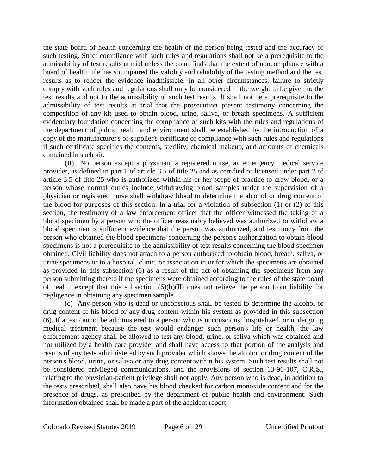the state board of health concerning the health of the person being tested and the accuracy of such testing. Strict compliance with such rules and regulations shall not be a prerequisite to the admissibility of test results at trial unless the court finds that the extent of noncompliance with a board of health rule has so impaired the validity and reliability of the testing method and the test results as to render the evidence inadmissible. In all other circumstances, failure to strictly comply with such rules and regulations shall only be considered in the weight to be given to the test results and not to the admissibility of such test results. It shall not be a prerequisite to the admissibility of test results at trial that the prosecution present testimony concerning the composition of any kit used to obtain blood, urine, saliva, or breath specimens. A sufficient evidentiary foundation concerning the compliance of such kits with the rules and regulations of the department of public health and environment shall be established by the introduction of a copy of the manufacturer's or supplier's certificate of compliance with such rules and regulations if such certificate specifies the contents, sterility, chemical makeup, and amounts of chemicals contained in such kit.

(II) No person except a physician, a registered nurse, an emergency medical service provider, as defined in part 1 of article 3.5 of title 25 and as certified or licensed under part 2 of article 3.5 of title 25 who is authorized within his or her scope of practice to draw blood, or a person whose normal duties include withdrawing blood samples under the supervision of a physician or registered nurse shall withdraw blood to determine the alcohol or drug content of the blood for purposes of this section. In a trial for a violation of subsection (1) or (2) of this section, the testimony of a law enforcement officer that the officer witnessed the taking of a blood specimen by a person who the officer reasonably believed was authorized to withdraw a blood specimen is sufficient evidence that the person was authorized, and testimony from the person who obtained the blood specimens concerning the person's authorization to obtain blood specimens is not a prerequisite to the admissibility of test results concerning the blood specimen obtained. Civil liability does not attach to a person authorized to obtain blood, breath, saliva, or urine specimens or to a hospital, clinic, or association in or for which the specimens are obtained as provided in this subsection (6) as a result of the act of obtaining the specimens from any person submitting thereto if the specimens were obtained according to the rules of the state board of health; except that this subsection  $(6)(b)(II)$  does not relieve the person from liability for negligence in obtaining any specimen sample.

(c) Any person who is dead or unconscious shall be tested to determine the alcohol or drug content of his blood or any drug content within his system as provided in this subsection (6). If a test cannot be administered to a person who is unconscious, hospitalized, or undergoing medical treatment because the test would endanger such person's life or health, the law enforcement agency shall be allowed to test any blood, urine, or saliva which was obtained and not utilized by a health care provider and shall have access to that portion of the analysis and results of any tests administered by such provider which shows the alcohol or drug content of the person's blood, urine, or saliva or any drug content within his system. Such test results shall not be considered privileged communications, and the provisions of section 13-90-107, C.R.S., relating to the physician-patient privilege shall not apply. Any person who is dead, in addition to the tests prescribed, shall also have his blood checked for carbon monoxide content and for the presence of drugs, as prescribed by the department of public health and environment. Such information obtained shall be made a part of the accident report.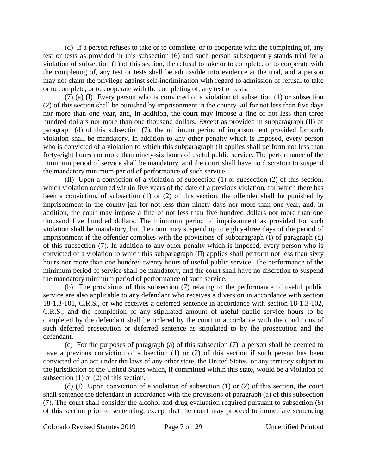(d) If a person refuses to take or to complete, or to cooperate with the completing of, any test or tests as provided in this subsection (6) and such person subsequently stands trial for a violation of subsection (1) of this section, the refusal to take or to complete, or to cooperate with the completing of, any test or tests shall be admissible into evidence at the trial, and a person may not claim the privilege against self-incrimination with regard to admission of refusal to take or to complete, or to cooperate with the completing of, any test or tests.

(7) (a) (I) Every person who is convicted of a violation of subsection (1) or subsection (2) of this section shall be punished by imprisonment in the county jail for not less than five days nor more than one year, and, in addition, the court may impose a fine of not less than three hundred dollars nor more than one thousand dollars. Except as provided in subparagraph (II) of paragraph (d) of this subsection (7), the minimum period of imprisonment provided for such violation shall be mandatory. In addition to any other penalty which is imposed, every person who is convicted of a violation to which this subparagraph (I) applies shall perform not less than forty-eight hours nor more than ninety-six hours of useful public service. The performance of the minimum period of service shall be mandatory, and the court shall have no discretion to suspend the mandatory minimum period of performance of such service.

(II) Upon a conviction of a violation of subsection (1) or subsection (2) of this section, which violation occurred within five years of the date of a previous violation, for which there has been a conviction, of subsection (1) or (2) of this section, the offender shall be punished by imprisonment in the county jail for not less than ninety days nor more than one year, and, in addition, the court may impose a fine of not less than five hundred dollars nor more than one thousand five hundred dollars. The minimum period of imprisonment as provided for such violation shall be mandatory, but the court may suspend up to eighty-three days of the period of imprisonment if the offender complies with the provisions of subparagraph (I) of paragraph (d) of this subsection (7). In addition to any other penalty which is imposed, every person who is convicted of a violation to which this subparagraph (II) applies shall perform not less than sixty hours nor more than one hundred twenty hours of useful public service. The performance of the minimum period of service shall be mandatory, and the court shall have no discretion to suspend the mandatory minimum period of performance of such service.

(b) The provisions of this subsection (7) relating to the performance of useful public service are also applicable to any defendant who receives a diversion in accordance with section 18-1.3-101, C.R.S., or who receives a deferred sentence in accordance with section 18-1.3-102, C.R.S., and the completion of any stipulated amount of useful public service hours to be completed by the defendant shall be ordered by the court in accordance with the conditions of such deferred prosecution or deferred sentence as stipulated to by the prosecution and the defendant.

(c) For the purposes of paragraph (a) of this subsection (7), a person shall be deemed to have a previous conviction of subsection (1) or (2) of this section if such person has been convicted of an act under the laws of any other state, the United States, or any territory subject to the jurisdiction of the United States which, if committed within this state, would be a violation of subsection (1) or (2) of this section.

(d) (I) Upon conviction of a violation of subsection (1) or (2) of this section, the court shall sentence the defendant in accordance with the provisions of paragraph (a) of this subsection (7). The court shall consider the alcohol and drug evaluation required pursuant to subsection (8) of this section prior to sentencing; except that the court may proceed to immediate sentencing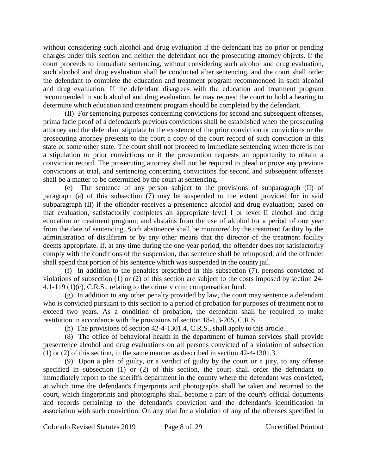without considering such alcohol and drug evaluation if the defendant has no prior or pending charges under this section and neither the defendant nor the prosecuting attorney objects. If the court proceeds to immediate sentencing, without considering such alcohol and drug evaluation, such alcohol and drug evaluation shall be conducted after sentencing, and the court shall order the defendant to complete the education and treatment program recommended in such alcohol and drug evaluation. If the defendant disagrees with the education and treatment program recommended in such alcohol and drug evaluation, he may request the court to hold a hearing to determine which education and treatment program should be completed by the defendant.

(II) For sentencing purposes concerning convictions for second and subsequent offenses, prima facie proof of a defendant's previous convictions shall be established when the prosecuting attorney and the defendant stipulate to the existence of the prior conviction or convictions or the prosecuting attorney presents to the court a copy of the court record of such conviction in this state or some other state. The court shall not proceed to immediate sentencing when there is not a stipulation to prior convictions or if the prosecution requests an opportunity to obtain a conviction record. The prosecuting attorney shall not be required to plead or prove any previous convictions at trial, and sentencing concerning convictions for second and subsequent offenses shall be a matter to be determined by the court at sentencing.

The sentence of any person subject to the provisions of subparagraph  $(II)$  of paragraph (a) of this subsection (7) may be suspended to the extent provided for in said subparagraph (II) if the offender receives a presentence alcohol and drug evaluation; based on that evaluation, satisfactorily completes an appropriate level I or level II alcohol and drug education or treatment program; and abstains from the use of alcohol for a period of one year from the date of sentencing. Such abstinence shall be monitored by the treatment facility by the administration of disulfiram or by any other means that the director of the treatment facility deems appropriate. If, at any time during the one-year period, the offender does not satisfactorily comply with the conditions of the suspension, that sentence shall be reimposed, and the offender shall spend that portion of his sentence which was suspended in the county jail.

(f) In addition to the penalties prescribed in this subsection (7), persons convicted of violations of subsection (1) or (2) of this section are subject to the costs imposed by section 24- 4.1-119 (1)(c), C.R.S., relating to the crime victim compensation fund.

(g) In addition to any other penalty provided by law, the court may sentence a defendant who is convicted pursuant to this section to a period of probation for purposes of treatment not to exceed two years. As a condition of probation, the defendant shall be required to make restitution in accordance with the provisions of section 18-1.3-205, C.R.S.

(h) The provisions of section 42-4-1301.4, C.R.S., shall apply to this article.

(8) The office of behavioral health in the department of human services shall provide presentence alcohol and drug evaluations on all persons convicted of a violation of subsection (1) or (2) of this section, in the same manner as described in section 42-4-1301.3.

(9) Upon a plea of guilty, or a verdict of guilty by the court or a jury, to any offense specified in subsection (1) or (2) of this section, the court shall order the defendant to immediately report to the sheriff's department in the county where the defendant was convicted, at which time the defendant's fingerprints and photographs shall be taken and returned to the court, which fingerprints and photographs shall become a part of the court's official documents and records pertaining to the defendant's conviction and the defendant's identification in association with such conviction. On any trial for a violation of any of the offenses specified in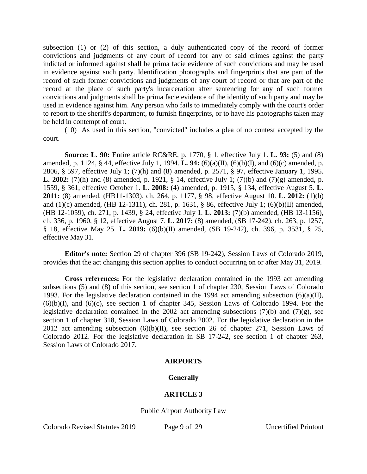subsection (1) or (2) of this section, a duly authenticated copy of the record of former convictions and judgments of any court of record for any of said crimes against the party indicted or informed against shall be prima facie evidence of such convictions and may be used in evidence against such party. Identification photographs and fingerprints that are part of the record of such former convictions and judgments of any court of record or that are part of the record at the place of such party's incarceration after sentencing for any of such former convictions and judgments shall be prima facie evidence of the identity of such party and may be used in evidence against him. Any person who fails to immediately comply with the court's order to report to the sheriff's department, to furnish fingerprints, or to have his photographs taken may be held in contempt of court.

(10) As used in this section, "convicted" includes a plea of no contest accepted by the court.

**Source: L. 90:** Entire article RC&RE, p. 1770, § 1, effective July 1. **L. 93:** (5) and (8) amended, p. 1124, § 44, effective July 1, 1994. **L. 94:** (6)(a)(II), (6)(b)(I), and (6)(c) amended, p. 2806, § 597, effective July 1; (7)(h) and (8) amended, p. 2571, § 97, effective January 1, 1995. **L. 2002:** (7)(h) and (8) amended, p. 1921, § 14, effective July 1; (7)(b) and (7)(g) amended, p. 1559, § 361, effective October 1. **L. 2008:** (4) amended, p. 1915, § 134, effective August 5. **L. 2011:** (8) amended, (HB11-1303), ch. 264, p. 1177, § 98, effective August 10. **L. 2012:** (1)(b) and (1)(c) amended, (HB 12-1311), ch. 281, p. 1631, § 86, effective July 1; (6)(b)(II) amended, (HB 12-1059), ch. 271, p. 1439, § 24, effective July 1. **L. 2013:** (7)(b) amended, (HB 13-1156), ch. 336, p. 1960, § 12, effective August 7. **L. 2017:** (8) amended, (SB 17-242), ch. 263, p. 1257, § 18, effective May 25. **L. 2019:** (6)(b)(II) amended, (SB 19-242), ch. 396, p. 3531, § 25, effective May 31.

**Editor's note:** Section 29 of chapter 396 (SB 19-242), Session Laws of Colorado 2019, provides that the act changing this section applies to conduct occurring on or after May 31, 2019.

**Cross references:** For the legislative declaration contained in the 1993 act amending subsections (5) and (8) of this section, see section 1 of chapter 230, Session Laws of Colorado 1993. For the legislative declaration contained in the 1994 act amending subsection  $(6)(a)(II)$ ,  $(6)(b)(I)$ , and  $(6)(c)$ , see section 1 of chapter 345, Session Laws of Colorado 1994. For the legislative declaration contained in the 2002 act amending subsections  $(7)(b)$  and  $(7)(g)$ , see section 1 of chapter 318, Session Laws of Colorado 2002. For the legislative declaration in the 2012 act amending subsection  $(6)(b)(II)$ , see section 26 of chapter 271, Session Laws of Colorado 2012. For the legislative declaration in SB 17-242, see section 1 of chapter 263, Session Laws of Colorado 2017.

#### **AIRPORTS**

#### **Generally**

#### **ARTICLE 3**

Public Airport Authority Law

Colorado Revised Statutes 2019 Page 9 of 29 Uncertified Printout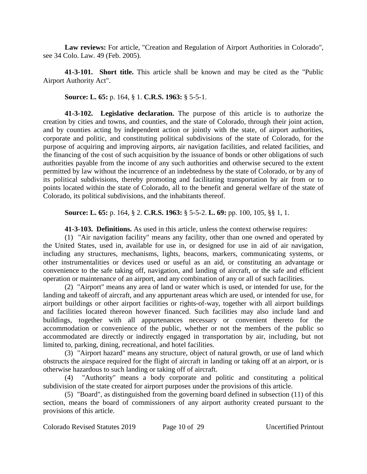**Law reviews:** For article, "Creation and Regulation of Airport Authorities in Colorado", see 34 Colo. Law. 49 (Feb. 2005).

**41-3-101. Short title.** This article shall be known and may be cited as the "Public Airport Authority Act".

**Source: L. 65:** p. 164, § 1. **C.R.S. 1963:** § 5-5-1.

**41-3-102. Legislative declaration.** The purpose of this article is to authorize the creation by cities and towns, and counties, and the state of Colorado, through their joint action, and by counties acting by independent action or jointly with the state, of airport authorities, corporate and politic, and constituting political subdivisions of the state of Colorado, for the purpose of acquiring and improving airports, air navigation facilities, and related facilities, and the financing of the cost of such acquisition by the issuance of bonds or other obligations of such authorities payable from the income of any such authorities and otherwise secured to the extent permitted by law without the incurrence of an indebtedness by the state of Colorado, or by any of its political subdivisions, thereby promoting and facilitating transportation by air from or to points located within the state of Colorado, all to the benefit and general welfare of the state of Colorado, its political subdivisions, and the inhabitants thereof.

**Source: L. 65:** p. 164, § 2. **C.R.S. 1963:** § 5-5-2. **L. 69:** pp. 100, 105, §§ 1, 1.

**41-3-103. Definitions.** As used in this article, unless the context otherwise requires:

(1) "Air navigation facility" means any facility, other than one owned and operated by the United States, used in, available for use in, or designed for use in aid of air navigation, including any structures, mechanisms, lights, beacons, markers, communicating systems, or other instrumentalities or devices used or useful as an aid, or constituting an advantage or convenience to the safe taking off, navigation, and landing of aircraft, or the safe and efficient operation or maintenance of an airport, and any combination of any or all of such facilities.

(2) "Airport" means any area of land or water which is used, or intended for use, for the landing and takeoff of aircraft, and any appurtenant areas which are used, or intended for use, for airport buildings or other airport facilities or rights-of-way, together with all airport buildings and facilities located thereon however financed. Such facilities may also include land and buildings, together with all appurtenances necessary or convenient thereto for the accommodation or convenience of the public, whether or not the members of the public so accommodated are directly or indirectly engaged in transportation by air, including, but not limited to, parking, dining, recreational, and hotel facilities.

(3) "Airport hazard" means any structure, object of natural growth, or use of land which obstructs the airspace required for the flight of aircraft in landing or taking off at an airport, or is otherwise hazardous to such landing or taking off of aircraft.

(4) "Authority" means a body corporate and politic and constituting a political subdivision of the state created for airport purposes under the provisions of this article.

(5) "Board", as distinguished from the governing board defined in subsection (11) of this section, means the board of commissioners of any airport authority created pursuant to the provisions of this article.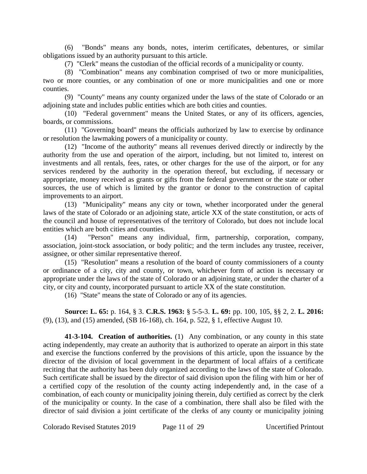(6) "Bonds" means any bonds, notes, interim certificates, debentures, or similar obligations issued by an authority pursuant to this article.

(7) "Clerk" means the custodian of the official records of a municipality or county.

(8) "Combination" means any combination comprised of two or more municipalities, two or more counties, or any combination of one or more municipalities and one or more counties.

(9) "County" means any county organized under the laws of the state of Colorado or an adjoining state and includes public entities which are both cities and counties.

(10) "Federal government" means the United States, or any of its officers, agencies, boards, or commissions.

(11) "Governing board" means the officials authorized by law to exercise by ordinance or resolution the lawmaking powers of a municipality or county.

(12) "Income of the authority" means all revenues derived directly or indirectly by the authority from the use and operation of the airport, including, but not limited to, interest on investments and all rentals, fees, rates, or other charges for the use of the airport, or for any services rendered by the authority in the operation thereof, but excluding, if necessary or appropriate, money received as grants or gifts from the federal government or the state or other sources, the use of which is limited by the grantor or donor to the construction of capital improvements to an airport.

(13) "Municipality" means any city or town, whether incorporated under the general laws of the state of Colorado or an adjoining state, article XX of the state constitution, or acts of the council and house of representatives of the territory of Colorado, but does not include local entities which are both cities and counties.

(14) "Person" means any individual, firm, partnership, corporation, company, association, joint-stock association, or body politic; and the term includes any trustee, receiver, assignee, or other similar representative thereof.

(15) "Resolution" means a resolution of the board of county commissioners of a county or ordinance of a city, city and county, or town, whichever form of action is necessary or appropriate under the laws of the state of Colorado or an adjoining state, or under the charter of a city, or city and county, incorporated pursuant to article XX of the state constitution.

(16) "State" means the state of Colorado or any of its agencies.

**Source: L. 65:** p. 164, § 3. **C.R.S. 1963:** § 5-5-3. **L. 69:** pp. 100, 105, §§ 2, 2. **L. 2016:** (9), (13), and (15) amended, (SB 16-168), ch. 164, p. 522, § 1, effective August 10.

**41-3-104. Creation of authorities.** (1) Any combination, or any county in this state acting independently, may create an authority that is authorized to operate an airport in this state and exercise the functions conferred by the provisions of this article, upon the issuance by the director of the division of local government in the department of local affairs of a certificate reciting that the authority has been duly organized according to the laws of the state of Colorado. Such certificate shall be issued by the director of said division upon the filing with him or her of a certified copy of the resolution of the county acting independently and, in the case of a combination, of each county or municipality joining therein, duly certified as correct by the clerk of the municipality or county. In the case of a combination, there shall also be filed with the director of said division a joint certificate of the clerks of any county or municipality joining

Colorado Revised Statutes 2019 Page 11 of 29 Uncertified Printout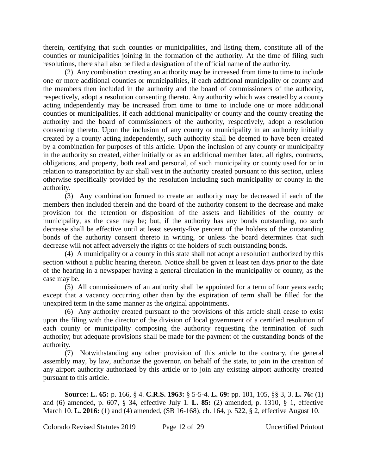therein, certifying that such counties or municipalities, and listing them, constitute all of the counties or municipalities joining in the formation of the authority. At the time of filing such resolutions, there shall also be filed a designation of the official name of the authority.

(2) Any combination creating an authority may be increased from time to time to include one or more additional counties or municipalities, if each additional municipality or county and the members then included in the authority and the board of commissioners of the authority, respectively, adopt a resolution consenting thereto. Any authority which was created by a county acting independently may be increased from time to time to include one or more additional counties or municipalities, if each additional municipality or county and the county creating the authority and the board of commissioners of the authority, respectively, adopt a resolution consenting thereto. Upon the inclusion of any county or municipality in an authority initially created by a county acting independently, such authority shall be deemed to have been created by a combination for purposes of this article. Upon the inclusion of any county or municipality in the authority so created, either initially or as an additional member later, all rights, contracts, obligations, and property, both real and personal, of such municipality or county used for or in relation to transportation by air shall vest in the authority created pursuant to this section, unless otherwise specifically provided by the resolution including such municipality or county in the authority.

(3) Any combination formed to create an authority may be decreased if each of the members then included therein and the board of the authority consent to the decrease and make provision for the retention or disposition of the assets and liabilities of the county or municipality, as the case may be; but, if the authority has any bonds outstanding, no such decrease shall be effective until at least seventy-five percent of the holders of the outstanding bonds of the authority consent thereto in writing, or unless the board determines that such decrease will not affect adversely the rights of the holders of such outstanding bonds.

(4) A municipality or a county in this state shall not adopt a resolution authorized by this section without a public hearing thereon. Notice shall be given at least ten days prior to the date of the hearing in a newspaper having a general circulation in the municipality or county, as the case may be.

(5) All commissioners of an authority shall be appointed for a term of four years each; except that a vacancy occurring other than by the expiration of term shall be filled for the unexpired term in the same manner as the original appointments.

(6) Any authority created pursuant to the provisions of this article shall cease to exist upon the filing with the director of the division of local government of a certified resolution of each county or municipality composing the authority requesting the termination of such authority; but adequate provisions shall be made for the payment of the outstanding bonds of the authority.

(7) Notwithstanding any other provision of this article to the contrary, the general assembly may, by law, authorize the governor, on behalf of the state, to join in the creation of any airport authority authorized by this article or to join any existing airport authority created pursuant to this article.

**Source: L. 65:** p. 166, § 4. **C.R.S. 1963:** § 5-5-4. **L. 69:** pp. 101, 105, §§ 3, 3. **L. 76:** (1) and (6) amended, p. 607, § 34, effective July 1. **L. 85:** (2) amended, p. 1310, § 1, effective March 10. **L. 2016:** (1) and (4) amended, (SB 16-168), ch. 164, p. 522, § 2, effective August 10.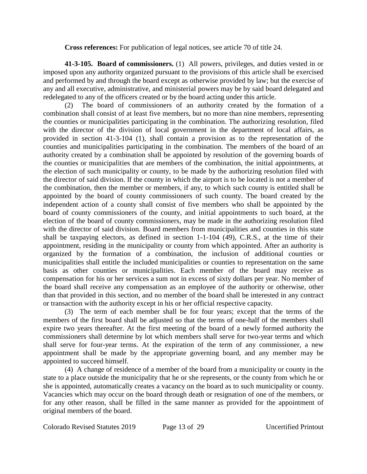**Cross references:** For publication of legal notices, see article 70 of title 24.

**41-3-105. Board of commissioners.** (1) All powers, privileges, and duties vested in or imposed upon any authority organized pursuant to the provisions of this article shall be exercised and performed by and through the board except as otherwise provided by law; but the exercise of any and all executive, administrative, and ministerial powers may be by said board delegated and redelegated to any of the officers created or by the board acting under this article.

(2) The board of commissioners of an authority created by the formation of a combination shall consist of at least five members, but no more than nine members, representing the counties or municipalities participating in the combination. The authorizing resolution, filed with the director of the division of local government in the department of local affairs, as provided in section 41-3-104 (1), shall contain a provision as to the representation of the counties and municipalities participating in the combination. The members of the board of an authority created by a combination shall be appointed by resolution of the governing boards of the counties or municipalities that are members of the combination, the initial appointments, at the election of such municipality or county, to be made by the authorizing resolution filed with the director of said division. If the county in which the airport is to be located is not a member of the combination, then the member or members, if any, to which such county is entitled shall be appointed by the board of county commissioners of such county. The board created by the independent action of a county shall consist of five members who shall be appointed by the board of county commissioners of the county, and initial appointments to such board, at the election of the board of county commissioners, may be made in the authorizing resolution filed with the director of said division. Board members from municipalities and counties in this state shall be taxpaying electors, as defined in section 1-1-104 (49), C.R.S., at the time of their appointment, residing in the municipality or county from which appointed. After an authority is organized by the formation of a combination, the inclusion of additional counties or municipalities shall entitle the included municipalities or counties to representation on the same basis as other counties or municipalities. Each member of the board may receive as compensation for his or her services a sum not in excess of sixty dollars per year. No member of the board shall receive any compensation as an employee of the authority or otherwise, other than that provided in this section, and no member of the board shall be interested in any contract or transaction with the authority except in his or her official respective capacity.

(3) The term of each member shall be for four years; except that the terms of the members of the first board shall be adjusted so that the terms of one-half of the members shall expire two years thereafter. At the first meeting of the board of a newly formed authority the commissioners shall determine by lot which members shall serve for two-year terms and which shall serve for four-year terms. At the expiration of the term of any commissioner, a new appointment shall be made by the appropriate governing board, and any member may be appointed to succeed himself.

(4) A change of residence of a member of the board from a municipality or county in the state to a place outside the municipality that he or she represents, or the county from which he or she is appointed, automatically creates a vacancy on the board as to such municipality or county. Vacancies which may occur on the board through death or resignation of one of the members, or for any other reason, shall be filled in the same manner as provided for the appointment of original members of the board.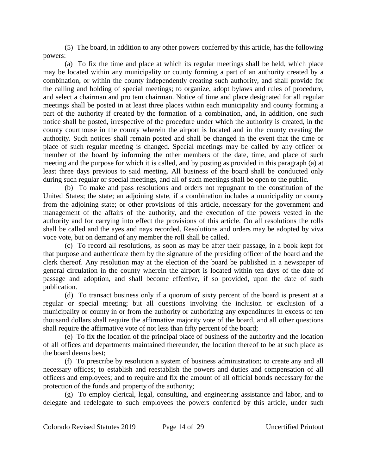(5) The board, in addition to any other powers conferred by this article, has the following powers:

(a) To fix the time and place at which its regular meetings shall be held, which place may be located within any municipality or county forming a part of an authority created by a combination, or within the county independently creating such authority, and shall provide for the calling and holding of special meetings; to organize, adopt bylaws and rules of procedure, and select a chairman and pro tem chairman. Notice of time and place designated for all regular meetings shall be posted in at least three places within each municipality and county forming a part of the authority if created by the formation of a combination, and, in addition, one such notice shall be posted, irrespective of the procedure under which the authority is created, in the county courthouse in the county wherein the airport is located and in the county creating the authority. Such notices shall remain posted and shall be changed in the event that the time or place of such regular meeting is changed. Special meetings may be called by any officer or member of the board by informing the other members of the date, time, and place of such meeting and the purpose for which it is called, and by posting as provided in this paragraph (a) at least three days previous to said meeting. All business of the board shall be conducted only during such regular or special meetings, and all of such meetings shall be open to the public.

(b) To make and pass resolutions and orders not repugnant to the constitution of the United States; the state; an adjoining state, if a combination includes a municipality or county from the adjoining state; or other provisions of this article, necessary for the government and management of the affairs of the authority, and the execution of the powers vested in the authority and for carrying into effect the provisions of this article. On all resolutions the rolls shall be called and the ayes and nays recorded. Resolutions and orders may be adopted by viva voce vote, but on demand of any member the roll shall be called.

(c) To record all resolutions, as soon as may be after their passage, in a book kept for that purpose and authenticate them by the signature of the presiding officer of the board and the clerk thereof. Any resolution may at the election of the board be published in a newspaper of general circulation in the county wherein the airport is located within ten days of the date of passage and adoption, and shall become effective, if so provided, upon the date of such publication.

(d) To transact business only if a quorum of sixty percent of the board is present at a regular or special meeting; but all questions involving the inclusion or exclusion of a municipality or county in or from the authority or authorizing any expenditures in excess of ten thousand dollars shall require the affirmative majority vote of the board, and all other questions shall require the affirmative vote of not less than fifty percent of the board;

(e) To fix the location of the principal place of business of the authority and the location of all offices and departments maintained thereunder, the location thereof to be at such place as the board deems best;

(f) To prescribe by resolution a system of business administration; to create any and all necessary offices; to establish and reestablish the powers and duties and compensation of all officers and employees; and to require and fix the amount of all official bonds necessary for the protection of the funds and property of the authority;

(g) To employ clerical, legal, consulting, and engineering assistance and labor, and to delegate and redelegate to such employees the powers conferred by this article, under such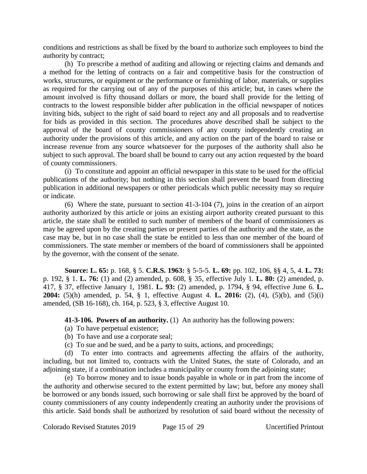conditions and restrictions as shall be fixed by the board to authorize such employees to bind the authority by contract;

(h) To prescribe a method of auditing and allowing or rejecting claims and demands and a method for the letting of contracts on a fair and competitive basis for the construction of works, structures, or equipment or the performance or furnishing of labor, materials, or supplies as required for the carrying out of any of the purposes of this article; but, in cases where the amount involved is fifty thousand dollars or more, the board shall provide for the letting of contracts to the lowest responsible bidder after publication in the official newspaper of notices inviting bids, subject to the right of said board to reject any and all proposals and to readvertise for bids as provided in this section. The procedures above described shall be subject to the approval of the board of county commissioners of any county independently creating an authority under the provisions of this article, and any action on the part of the board to raise or increase revenue from any source whatsoever for the purposes of the authority shall also be subject to such approval. The board shall be bound to carry out any action requested by the board of county commissioners.

(i) To constitute and appoint an official newspaper in this state to be used for the official publications of the authority; but nothing in this section shall prevent the board from directing publication in additional newspapers or other periodicals which public necessity may so require or indicate.

(6) Where the state, pursuant to section 41-3-104 (7), joins in the creation of an airport authority authorized by this article or joins an existing airport authority created pursuant to this article, the state shall be entitled to such number of members of the board of commissioners as may be agreed upon by the creating parties or present parties of the authority and the state, as the case may be, but in no case shall the state be entitled to less than one member of the board of commissioners. The state member or members of the board of commissioners shall be appointed by the governor, with the consent of the senate.

**Source: L. 65:** p. 168, § 5. **C.R.S. 1963:** § 5-5-5. **L. 69:** pp. 102, 106, §§ 4, 5, 4. **L. 73:** p. 192, § 1. **L. 76:** (1) and (2) amended, p. 608, § 35, effective July 1. **L. 80:** (2) amended, p. 417, § 37, effective January 1, 1981. **L. 93:** (2) amended, p. 1794, § 94, effective June 6. **L. 2004:** (5)(h) amended, p. 54, § 1, effective August 4. **L. 2016:** (2), (4), (5)(b), and (5)(i) amended, (SB 16-168), ch. 164, p. 523, § 3, effective August 10.

**41-3-106. Powers of an authority.** (1) An authority has the following powers:

- (a) To have perpetual existence;
- (b) To have and use a corporate seal;
- (c) To sue and be sued, and be a party to suits, actions, and proceedings;

(d) To enter into contracts and agreements affecting the affairs of the authority, including, but not limited to, contracts with the United States, the state of Colorado, and an adjoining state, if a combination includes a municipality or county from the adjoining state;

(e) To borrow money and to issue bonds payable in whole or in part from the income of the authority and otherwise secured to the extent permitted by law; but, before any money shall be borrowed or any bonds issued, such borrowing or sale shall first be approved by the board of county commissioners of any county independently creating an authority under the provisions of this article. Said bonds shall be authorized by resolution of said board without the necessity of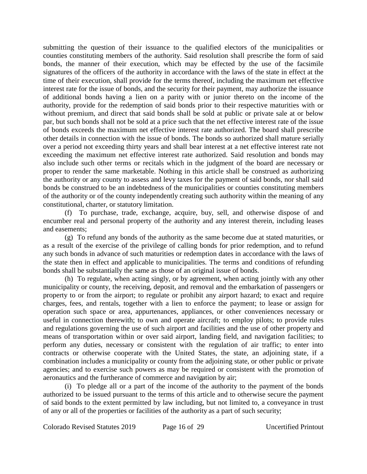submitting the question of their issuance to the qualified electors of the municipalities or counties constituting members of the authority. Said resolution shall prescribe the form of said bonds, the manner of their execution, which may be effected by the use of the facsimile signatures of the officers of the authority in accordance with the laws of the state in effect at the time of their execution, shall provide for the terms thereof, including the maximum net effective interest rate for the issue of bonds, and the security for their payment, may authorize the issuance of additional bonds having a lien on a parity with or junior thereto on the income of the authority, provide for the redemption of said bonds prior to their respective maturities with or without premium, and direct that said bonds shall be sold at public or private sale at or below par, but such bonds shall not be sold at a price such that the net effective interest rate of the issue of bonds exceeds the maximum net effective interest rate authorized. The board shall prescribe other details in connection with the issue of bonds. The bonds so authorized shall mature serially over a period not exceeding thirty years and shall bear interest at a net effective interest rate not exceeding the maximum net effective interest rate authorized. Said resolution and bonds may also include such other terms or recitals which in the judgment of the board are necessary or proper to render the same marketable. Nothing in this article shall be construed as authorizing the authority or any county to assess and levy taxes for the payment of said bonds, nor shall said bonds be construed to be an indebtedness of the municipalities or counties constituting members of the authority or of the county independently creating such authority within the meaning of any constitutional, charter, or statutory limitation.

(f) To purchase, trade, exchange, acquire, buy, sell, and otherwise dispose of and encumber real and personal property of the authority and any interest therein, including leases and easements;

(g) To refund any bonds of the authority as the same become due at stated maturities, or as a result of the exercise of the privilege of calling bonds for prior redemption, and to refund any such bonds in advance of such maturities or redemption dates in accordance with the laws of the state then in effect and applicable to municipalities. The terms and conditions of refunding bonds shall be substantially the same as those of an original issue of bonds.

(h) To regulate, when acting singly, or by agreement, when acting jointly with any other municipality or county, the receiving, deposit, and removal and the embarkation of passengers or property to or from the airport; to regulate or prohibit any airport hazard; to exact and require charges, fees, and rentals, together with a lien to enforce the payment; to lease or assign for operation such space or area, appurtenances, appliances, or other conveniences necessary or useful in connection therewith; to own and operate aircraft; to employ pilots; to provide rules and regulations governing the use of such airport and facilities and the use of other property and means of transportation within or over said airport, landing field, and navigation facilities; to perform any duties, necessary or consistent with the regulation of air traffic; to enter into contracts or otherwise cooperate with the United States, the state, an adjoining state, if a combination includes a municipality or county from the adjoining state, or other public or private agencies; and to exercise such powers as may be required or consistent with the promotion of aeronautics and the furtherance of commerce and navigation by air;

(i) To pledge all or a part of the income of the authority to the payment of the bonds authorized to be issued pursuant to the terms of this article and to otherwise secure the payment of said bonds to the extent permitted by law including, but not limited to, a conveyance in trust of any or all of the properties or facilities of the authority as a part of such security;

Colorado Revised Statutes 2019 Page 16 of 29 Uncertified Printout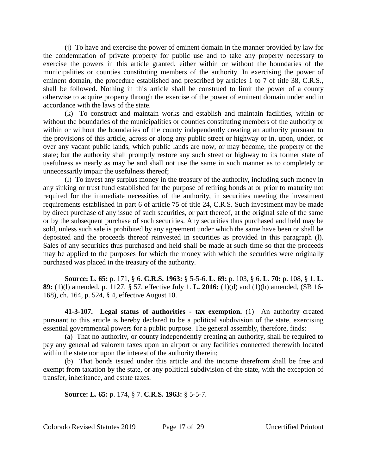(j) To have and exercise the power of eminent domain in the manner provided by law for the condemnation of private property for public use and to take any property necessary to exercise the powers in this article granted, either within or without the boundaries of the municipalities or counties constituting members of the authority. In exercising the power of eminent domain, the procedure established and prescribed by articles 1 to 7 of title 38, C.R.S., shall be followed. Nothing in this article shall be construed to limit the power of a county otherwise to acquire property through the exercise of the power of eminent domain under and in accordance with the laws of the state.

(k) To construct and maintain works and establish and maintain facilities, within or without the boundaries of the municipalities or counties constituting members of the authority or within or without the boundaries of the county independently creating an authority pursuant to the provisions of this article, across or along any public street or highway or in, upon, under, or over any vacant public lands, which public lands are now, or may become, the property of the state; but the authority shall promptly restore any such street or highway to its former state of usefulness as nearly as may be and shall not use the same in such manner as to completely or unnecessarily impair the usefulness thereof;

(l) To invest any surplus money in the treasury of the authority, including such money in any sinking or trust fund established for the purpose of retiring bonds at or prior to maturity not required for the immediate necessities of the authority, in securities meeting the investment requirements established in part 6 of article 75 of title 24, C.R.S. Such investment may be made by direct purchase of any issue of such securities, or part thereof, at the original sale of the same or by the subsequent purchase of such securities. Any securities thus purchased and held may be sold, unless such sale is prohibited by any agreement under which the same have been or shall be deposited and the proceeds thereof reinvested in securities as provided in this paragraph (l). Sales of any securities thus purchased and held shall be made at such time so that the proceeds may be applied to the purposes for which the money with which the securities were originally purchased was placed in the treasury of the authority.

**Source: L. 65:** p. 171, § 6. **C.R.S. 1963:** § 5-5-6. **L. 69:** p. 103, § 6. **L. 70:** p. 108, § 1. **L. 89:** (1)(l) amended, p. 1127, § 57, effective July 1. **L. 2016:** (1)(d) and (1)(h) amended, (SB 16- 168), ch. 164, p. 524, § 4, effective August 10.

**41-3-107. Legal status of authorities - tax exemption.** (1) An authority created pursuant to this article is hereby declared to be a political subdivision of the state, exercising essential governmental powers for a public purpose. The general assembly, therefore, finds:

(a) That no authority, or county independently creating an authority, shall be required to pay any general ad valorem taxes upon an airport or any facilities connected therewith located within the state nor upon the interest of the authority therein;

(b) That bonds issued under this article and the income therefrom shall be free and exempt from taxation by the state, or any political subdivision of the state, with the exception of transfer, inheritance, and estate taxes.

**Source: L. 65:** p. 174, § 7. **C.R.S. 1963:** § 5-5-7.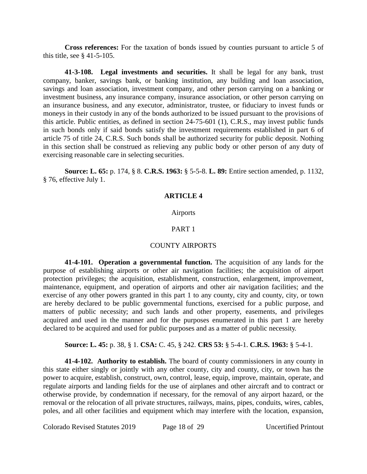**Cross references:** For the taxation of bonds issued by counties pursuant to article 5 of this title, see § 41-5-105.

**41-3-108. Legal investments and securities.** It shall be legal for any bank, trust company, banker, savings bank, or banking institution, any building and loan association, savings and loan association, investment company, and other person carrying on a banking or investment business, any insurance company, insurance association, or other person carrying on an insurance business, and any executor, administrator, trustee, or fiduciary to invest funds or moneys in their custody in any of the bonds authorized to be issued pursuant to the provisions of this article. Public entities, as defined in section 24-75-601 (1), C.R.S., may invest public funds in such bonds only if said bonds satisfy the investment requirements established in part 6 of article 75 of title 24, C.R.S. Such bonds shall be authorized security for public deposit. Nothing in this section shall be construed as relieving any public body or other person of any duty of exercising reasonable care in selecting securities.

**Source: L. 65:** p. 174, § 8. **C.R.S. 1963:** § 5-5-8. **L. 89:** Entire section amended, p. 1132, § 76, effective July 1.

## **ARTICLE 4**

### Airports

### PART 1

### COUNTY AIRPORTS

**41-4-101. Operation a governmental function.** The acquisition of any lands for the purpose of establishing airports or other air navigation facilities; the acquisition of airport protection privileges; the acquisition, establishment, construction, enlargement, improvement, maintenance, equipment, and operation of airports and other air navigation facilities; and the exercise of any other powers granted in this part 1 to any county, city and county, city, or town are hereby declared to be public governmental functions, exercised for a public purpose, and matters of public necessity; and such lands and other property, easements, and privileges acquired and used in the manner and for the purposes enumerated in this part 1 are hereby declared to be acquired and used for public purposes and as a matter of public necessity.

### **Source: L. 45:** p. 38, § 1. **CSA:** C. 45, § 242. **CRS 53:** § 5-4-1. **C.R.S. 1963:** § 5-4-1.

**41-4-102. Authority to establish.** The board of county commissioners in any county in this state either singly or jointly with any other county, city and county, city, or town has the power to acquire, establish, construct, own, control, lease, equip, improve, maintain, operate, and regulate airports and landing fields for the use of airplanes and other aircraft and to contract or otherwise provide, by condemnation if necessary, for the removal of any airport hazard, or the removal or the relocation of all private structures, railways, mains, pipes, conduits, wires, cables, poles, and all other facilities and equipment which may interfere with the location, expansion,

Colorado Revised Statutes 2019 Page 18 of 29 Uncertified Printout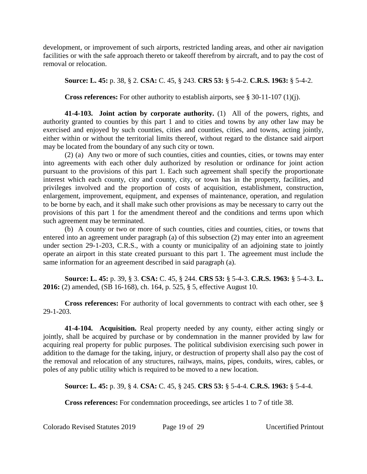development, or improvement of such airports, restricted landing areas, and other air navigation facilities or with the safe approach thereto or takeoff therefrom by aircraft, and to pay the cost of removal or relocation.

## **Source: L. 45:** p. 38, § 2. **CSA:** C. 45, § 243. **CRS 53:** § 5-4-2. **C.R.S. 1963:** § 5-4-2.

**Cross references:** For other authority to establish airports, see § 30-11-107 (1)(j).

**41-4-103. Joint action by corporate authority.** (1) All of the powers, rights, and authority granted to counties by this part 1 and to cities and towns by any other law may be exercised and enjoyed by such counties, cities and counties, cities, and towns, acting jointly, either within or without the territorial limits thereof, without regard to the distance said airport may be located from the boundary of any such city or town.

(2) (a) Any two or more of such counties, cities and counties, cities, or towns may enter into agreements with each other duly authorized by resolution or ordinance for joint action pursuant to the provisions of this part 1. Each such agreement shall specify the proportionate interest which each county, city and county, city, or town has in the property, facilities, and privileges involved and the proportion of costs of acquisition, establishment, construction, enlargement, improvement, equipment, and expenses of maintenance, operation, and regulation to be borne by each, and it shall make such other provisions as may be necessary to carry out the provisions of this part 1 for the amendment thereof and the conditions and terms upon which such agreement may be terminated.

(b) A county or two or more of such counties, cities and counties, cities, or towns that entered into an agreement under paragraph (a) of this subsection (2) may enter into an agreement under section 29-1-203, C.R.S., with a county or municipality of an adjoining state to jointly operate an airport in this state created pursuant to this part 1. The agreement must include the same information for an agreement described in said paragraph (a).

**Source: L. 45:** p. 39, § 3. **CSA:** C. 45, § 244. **CRS 53:** § 5-4-3. **C.R.S. 1963:** § 5-4-3. **L. 2016:** (2) amended, (SB 16-168), ch. 164, p. 525, § 5, effective August 10.

**Cross references:** For authority of local governments to contract with each other, see § 29-1-203.

**41-4-104. Acquisition.** Real property needed by any county, either acting singly or jointly, shall be acquired by purchase or by condemnation in the manner provided by law for acquiring real property for public purposes. The political subdivision exercising such power in addition to the damage for the taking, injury, or destruction of property shall also pay the cost of the removal and relocation of any structures, railways, mains, pipes, conduits, wires, cables, or poles of any public utility which is required to be moved to a new location.

**Source: L. 45:** p. 39, § 4. **CSA:** C. 45, § 245. **CRS 53:** § 5-4-4. **C.R.S. 1963:** § 5-4-4.

**Cross references:** For condemnation proceedings, see articles 1 to 7 of title 38.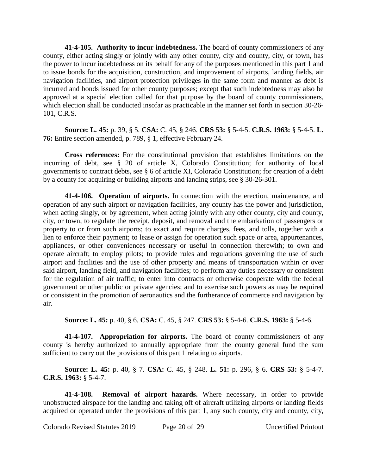**41-4-105. Authority to incur indebtedness.** The board of county commissioners of any county, either acting singly or jointly with any other county, city and county, city, or town, has the power to incur indebtedness on its behalf for any of the purposes mentioned in this part 1 and to issue bonds for the acquisition, construction, and improvement of airports, landing fields, air navigation facilities, and airport protection privileges in the same form and manner as debt is incurred and bonds issued for other county purposes; except that such indebtedness may also be approved at a special election called for that purpose by the board of county commissioners, which election shall be conducted insofar as practicable in the manner set forth in section 30-26- 101, C.R.S.

**Source: L. 45:** p. 39, § 5. **CSA:** C. 45, § 246. **CRS 53:** § 5-4-5. **C.R.S. 1963:** § 5-4-5. **L. 76:** Entire section amended, p. 789, § 1, effective February 24.

**Cross references:** For the constitutional provision that establishes limitations on the incurring of debt, see § 20 of article X, Colorado Constitution; for authority of local governments to contract debts, see § 6 of article XI, Colorado Constitution; for creation of a debt by a county for acquiring or building airports and landing strips, see § 30-26-301.

**41-4-106. Operation of airports.** In connection with the erection, maintenance, and operation of any such airport or navigation facilities, any county has the power and jurisdiction, when acting singly, or by agreement, when acting jointly with any other county, city and county, city, or town, to regulate the receipt, deposit, and removal and the embarkation of passengers or property to or from such airports; to exact and require charges, fees, and tolls, together with a lien to enforce their payment; to lease or assign for operation such space or area, appurtenances, appliances, or other conveniences necessary or useful in connection therewith; to own and operate aircraft; to employ pilots; to provide rules and regulations governing the use of such airport and facilities and the use of other property and means of transportation within or over said airport, landing field, and navigation facilities; to perform any duties necessary or consistent for the regulation of air traffic; to enter into contracts or otherwise cooperate with the federal government or other public or private agencies; and to exercise such powers as may be required or consistent in the promotion of aeronautics and the furtherance of commerce and navigation by air.

**Source: L. 45:** p. 40, § 6. **CSA:** C. 45, § 247. **CRS 53:** § 5-4-6. **C.R.S. 1963:** § 5-4-6.

**41-4-107. Appropriation for airports.** The board of county commissioners of any county is hereby authorized to annually appropriate from the county general fund the sum sufficient to carry out the provisions of this part 1 relating to airports.

**Source: L. 45:** p. 40, § 7. **CSA:** C. 45, § 248. **L. 51:** p. 296, § 6. **CRS 53:** § 5-4-7. **C.R.S. 1963:** § 5-4-7.

**41-4-108. Removal of airport hazards.** Where necessary, in order to provide unobstructed airspace for the landing and taking off of aircraft utilizing airports or landing fields acquired or operated under the provisions of this part 1, any such county, city and county, city,

Colorado Revised Statutes 2019 Page 20 of 29 Uncertified Printout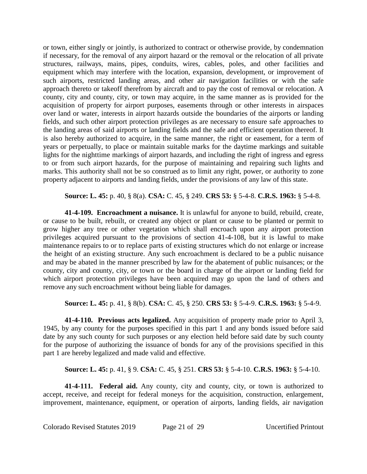or town, either singly or jointly, is authorized to contract or otherwise provide, by condemnation if necessary, for the removal of any airport hazard or the removal or the relocation of all private structures, railways, mains, pipes, conduits, wires, cables, poles, and other facilities and equipment which may interfere with the location, expansion, development, or improvement of such airports, restricted landing areas, and other air navigation facilities or with the safe approach thereto or takeoff therefrom by aircraft and to pay the cost of removal or relocation. A county, city and county, city, or town may acquire, in the same manner as is provided for the acquisition of property for airport purposes, easements through or other interests in airspaces over land or water, interests in airport hazards outside the boundaries of the airports or landing fields, and such other airport protection privileges as are necessary to ensure safe approaches to the landing areas of said airports or landing fields and the safe and efficient operation thereof. It is also hereby authorized to acquire, in the same manner, the right or easement, for a term of years or perpetually, to place or maintain suitable marks for the daytime markings and suitable lights for the nighttime markings of airport hazards, and including the right of ingress and egress to or from such airport hazards, for the purpose of maintaining and repairing such lights and marks. This authority shall not be so construed as to limit any right, power, or authority to zone property adjacent to airports and landing fields, under the provisions of any law of this state.

### **Source: L. 45:** p. 40, § 8(a). **CSA:** C. 45, § 249. **CRS 53:** § 5-4-8. **C.R.S. 1963:** § 5-4-8.

**41-4-109. Encroachment a nuisance.** It is unlawful for anyone to build, rebuild, create, or cause to be built, rebuilt, or created any object or plant or cause to be planted or permit to grow higher any tree or other vegetation which shall encroach upon any airport protection privileges acquired pursuant to the provisions of section 41-4-108, but it is lawful to make maintenance repairs to or to replace parts of existing structures which do not enlarge or increase the height of an existing structure. Any such encroachment is declared to be a public nuisance and may be abated in the manner prescribed by law for the abatement of public nuisances; or the county, city and county, city, or town or the board in charge of the airport or landing field for which airport protection privileges have been acquired may go upon the land of others and remove any such encroachment without being liable for damages.

## **Source: L. 45:** p. 41, § 8(b). **CSA:** C. 45, § 250. **CRS 53:** § 5-4-9. **C.R.S. 1963:** § 5-4-9.

**41-4-110. Previous acts legalized.** Any acquisition of property made prior to April 3, 1945, by any county for the purposes specified in this part 1 and any bonds issued before said date by any such county for such purposes or any election held before said date by such county for the purpose of authorizing the issuance of bonds for any of the provisions specified in this part 1 are hereby legalized and made valid and effective.

### **Source: L. 45:** p. 41, § 9. **CSA:** C. 45, § 251. **CRS 53:** § 5-4-10. **C.R.S. 1963:** § 5-4-10.

**41-4-111. Federal aid.** Any county, city and county, city, or town is authorized to accept, receive, and receipt for federal moneys for the acquisition, construction, enlargement, improvement, maintenance, equipment, or operation of airports, landing fields, air navigation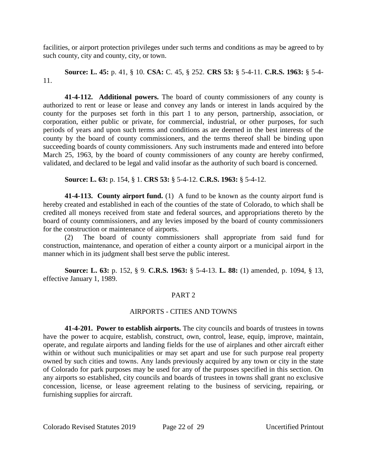facilities, or airport protection privileges under such terms and conditions as may be agreed to by such county, city and county, city, or town.

**Source: L. 45:** p. 41, § 10. **CSA:** C. 45, § 252. **CRS 53:** § 5-4-11. **C.R.S. 1963:** § 5-4- 11.

**41-4-112. Additional powers.** The board of county commissioners of any county is authorized to rent or lease or lease and convey any lands or interest in lands acquired by the county for the purposes set forth in this part 1 to any person, partnership, association, or corporation, either public or private, for commercial, industrial, or other purposes, for such periods of years and upon such terms and conditions as are deemed in the best interests of the county by the board of county commissioners, and the terms thereof shall be binding upon succeeding boards of county commissioners. Any such instruments made and entered into before March 25, 1963, by the board of county commissioners of any county are hereby confirmed, validated, and declared to be legal and valid insofar as the authority of such board is concerned.

**Source: L. 63:** p. 154, § 1. **CRS 53:** § 5-4-12. **C.R.S. 1963:** § 5-4-12.

**41-4-113. County airport fund.** (1) A fund to be known as the county airport fund is hereby created and established in each of the counties of the state of Colorado, to which shall be credited all moneys received from state and federal sources, and appropriations thereto by the board of county commissioners, and any levies imposed by the board of county commissioners for the construction or maintenance of airports.

(2) The board of county commissioners shall appropriate from said fund for construction, maintenance, and operation of either a county airport or a municipal airport in the manner which in its judgment shall best serve the public interest.

**Source: L. 63:** p. 152, § 9. **C.R.S. 1963:** § 5-4-13. **L. 88:** (1) amended, p. 1094, § 13, effective January 1, 1989.

## PART 2

## AIRPORTS - CITIES AND TOWNS

**41-4-201. Power to establish airports.** The city councils and boards of trustees in towns have the power to acquire, establish, construct, own, control, lease, equip, improve, maintain, operate, and regulate airports and landing fields for the use of airplanes and other aircraft either within or without such municipalities or may set apart and use for such purpose real property owned by such cities and towns. Any lands previously acquired by any town or city in the state of Colorado for park purposes may be used for any of the purposes specified in this section. On any airports so established, city councils and boards of trustees in towns shall grant no exclusive concession, license, or lease agreement relating to the business of servicing, repairing, or furnishing supplies for aircraft.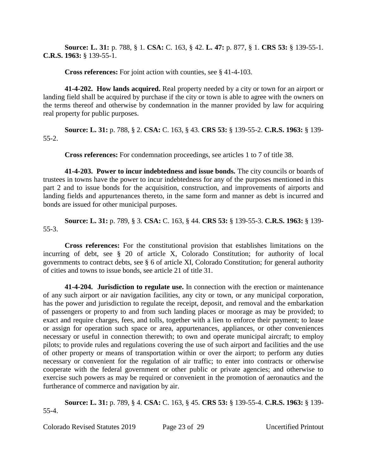**Source: L. 31:** p. 788, § 1. **CSA:** C. 163, § 42. **L. 47:** p. 877, § 1. **CRS 53:** § 139-55-1. **C.R.S. 1963:** § 139-55-1.

**Cross references:** For joint action with counties, see § 41-4-103.

**41-4-202. How lands acquired.** Real property needed by a city or town for an airport or landing field shall be acquired by purchase if the city or town is able to agree with the owners on the terms thereof and otherwise by condemnation in the manner provided by law for acquiring real property for public purposes.

**Source: L. 31:** p. 788, § 2. **CSA:** C. 163, § 43. **CRS 53:** § 139-55-2. **C.R.S. 1963:** § 139- 55-2.

**Cross references:** For condemnation proceedings, see articles 1 to 7 of title 38.

**41-4-203. Power to incur indebtedness and issue bonds.** The city councils or boards of trustees in towns have the power to incur indebtedness for any of the purposes mentioned in this part 2 and to issue bonds for the acquisition, construction, and improvements of airports and landing fields and appurtenances thereto, in the same form and manner as debt is incurred and bonds are issued for other municipal purposes.

**Source: L. 31:** p. 789, § 3. **CSA:** C. 163, § 44. **CRS 53:** § 139-55-3. **C.R.S. 1963:** § 139- 55-3.

**Cross references:** For the constitutional provision that establishes limitations on the incurring of debt, see § 20 of article X, Colorado Constitution; for authority of local governments to contract debts, see § 6 of article XI, Colorado Constitution; for general authority of cities and towns to issue bonds, see article 21 of title 31.

**41-4-204. Jurisdiction to regulate use.** In connection with the erection or maintenance of any such airport or air navigation facilities, any city or town, or any municipal corporation, has the power and jurisdiction to regulate the receipt, deposit, and removal and the embarkation of passengers or property to and from such landing places or moorage as may be provided; to exact and require charges, fees, and tolls, together with a lien to enforce their payment; to lease or assign for operation such space or area, appurtenances, appliances, or other conveniences necessary or useful in connection therewith; to own and operate municipal aircraft; to employ pilots; to provide rules and regulations covering the use of such airport and facilities and the use of other property or means of transportation within or over the airport; to perform any duties necessary or convenient for the regulation of air traffic; to enter into contracts or otherwise cooperate with the federal government or other public or private agencies; and otherwise to exercise such powers as may be required or convenient in the promotion of aeronautics and the furtherance of commerce and navigation by air.

**Source: L. 31:** p. 789, § 4. **CSA:** C. 163, § 45. **CRS 53:** § 139-55-4. **C.R.S. 1963:** § 139- 55-4.

Colorado Revised Statutes 2019 Page 23 of 29 Uncertified Printout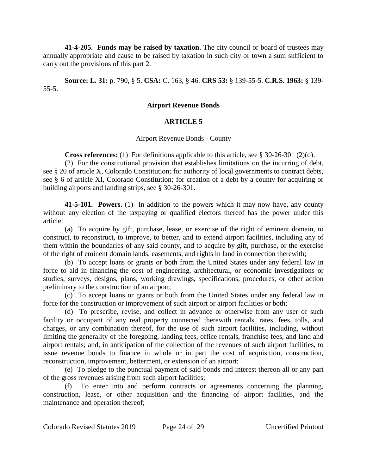**41-4-205. Funds may be raised by taxation.** The city council or board of trustees may annually appropriate and cause to be raised by taxation in such city or town a sum sufficient to carry out the provisions of this part 2.

**Source: L. 31:** p. 790, § 5. **CSA:** C. 163, § 46. **CRS 53:** § 139-55-5. **C.R.S. 1963:** § 139- 55-5.

### **Airport Revenue Bonds**

## **ARTICLE 5**

Airport Revenue Bonds - County

**Cross references:** (1) For definitions applicable to this article, see § 30-26-301 (2)(d).

(2) For the constitutional provision that establishes limitations on the incurring of debt, see § 20 of article X, Colorado Constitution; for authority of local governments to contract debts, see § 6 of article XI, Colorado Constitution; for creation of a debt by a county for acquiring or building airports and landing strips, see § 30-26-301.

**41-5-101. Powers.** (1) In addition to the powers which it may now have, any county without any election of the taxpaying or qualified electors thereof has the power under this article:

(a) To acquire by gift, purchase, lease, or exercise of the right of eminent domain, to construct, to reconstruct, to improve, to better, and to extend airport facilities, including any of them within the boundaries of any said county, and to acquire by gift, purchase, or the exercise of the right of eminent domain lands, easements, and rights in land in connection therewith;

(b) To accept loans or grants or both from the United States under any federal law in force to aid in financing the cost of engineering, architectural, or economic investigations or studies, surveys, designs, plans, working drawings, specifications, procedures, or other action preliminary to the construction of an airport;

(c) To accept loans or grants or both from the United States under any federal law in force for the construction or improvement of such airport or airport facilities or both;

(d) To prescribe, revise, and collect in advance or otherwise from any user of such facility or occupant of any real property connected therewith rentals, rates, fees, tolls, and charges, or any combination thereof, for the use of such airport facilities, including, without limiting the generality of the foregoing, landing fees, office rentals, franchise fees, and land and airport rentals; and, in anticipation of the collection of the revenues of such airport facilities, to issue revenue bonds to finance in whole or in part the cost of acquisition, construction, reconstruction, improvement, betterment, or extension of an airport;

(e) To pledge to the punctual payment of said bonds and interest thereon all or any part of the gross revenues arising from such airport facilities;

(f) To enter into and perform contracts or agreements concerning the planning, construction, lease, or other acquisition and the financing of airport facilities, and the maintenance and operation thereof;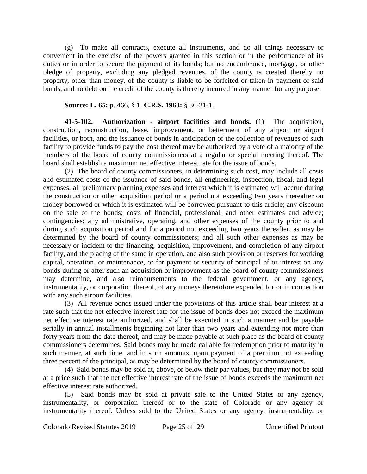(g) To make all contracts, execute all instruments, and do all things necessary or convenient in the exercise of the powers granted in this section or in the performance of its duties or in order to secure the payment of its bonds; but no encumbrance, mortgage, or other pledge of property, excluding any pledged revenues, of the county is created thereby no property, other than money, of the county is liable to be forfeited or taken in payment of said bonds, and no debt on the credit of the county is thereby incurred in any manner for any purpose.

### **Source: L. 65:** p. 466, § 1. **C.R.S. 1963:** § 36-21-1.

**41-5-102. Authorization - airport facilities and bonds.** (1) The acquisition, construction, reconstruction, lease, improvement, or betterment of any airport or airport facilities, or both, and the issuance of bonds in anticipation of the collection of revenues of such facility to provide funds to pay the cost thereof may be authorized by a vote of a majority of the members of the board of county commissioners at a regular or special meeting thereof. The board shall establish a maximum net effective interest rate for the issue of bonds.

(2) The board of county commissioners, in determining such cost, may include all costs and estimated costs of the issuance of said bonds, all engineering, inspection, fiscal, and legal expenses, all preliminary planning expenses and interest which it is estimated will accrue during the construction or other acquisition period or a period not exceeding two years thereafter on money borrowed or which it is estimated will be borrowed pursuant to this article; any discount on the sale of the bonds; costs of financial, professional, and other estimates and advice; contingencies; any administrative, operating, and other expenses of the county prior to and during such acquisition period and for a period not exceeding two years thereafter, as may be determined by the board of county commissioners; and all such other expenses as may be necessary or incident to the financing, acquisition, improvement, and completion of any airport facility, and the placing of the same in operation, and also such provision or reserves for working capital, operation, or maintenance, or for payment or security of principal of or interest on any bonds during or after such an acquisition or improvement as the board of county commissioners may determine, and also reimbursements to the federal government, or any agency, instrumentality, or corporation thereof, of any moneys theretofore expended for or in connection with any such airport facilities.

(3) All revenue bonds issued under the provisions of this article shall bear interest at a rate such that the net effective interest rate for the issue of bonds does not exceed the maximum net effective interest rate authorized, and shall be executed in such a manner and be payable serially in annual installments beginning not later than two years and extending not more than forty years from the date thereof, and may be made payable at such place as the board of county commissioners determines. Said bonds may be made callable for redemption prior to maturity in such manner, at such time, and in such amounts, upon payment of a premium not exceeding three percent of the principal, as may be determined by the board of county commissioners.

(4) Said bonds may be sold at, above, or below their par values, but they may not be sold at a price such that the net effective interest rate of the issue of bonds exceeds the maximum net effective interest rate authorized.

(5) Said bonds may be sold at private sale to the United States or any agency, instrumentality, or corporation thereof or to the state of Colorado or any agency or instrumentality thereof. Unless sold to the United States or any agency, instrumentality, or

Colorado Revised Statutes 2019 Page 25 of 29 Uncertified Printout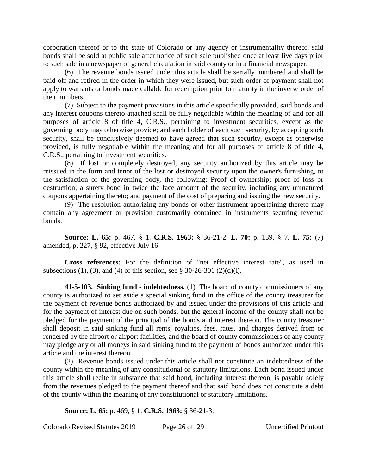corporation thereof or to the state of Colorado or any agency or instrumentality thereof, said bonds shall be sold at public sale after notice of such sale published once at least five days prior to such sale in a newspaper of general circulation in said county or in a financial newspaper.

(6) The revenue bonds issued under this article shall be serially numbered and shall be paid off and retired in the order in which they were issued, but such order of payment shall not apply to warrants or bonds made callable for redemption prior to maturity in the inverse order of their numbers.

(7) Subject to the payment provisions in this article specifically provided, said bonds and any interest coupons thereto attached shall be fully negotiable within the meaning of and for all purposes of article 8 of title 4, C.R.S., pertaining to investment securities, except as the governing body may otherwise provide; and each holder of each such security, by accepting such security, shall be conclusively deemed to have agreed that such security, except as otherwise provided, is fully negotiable within the meaning and for all purposes of article 8 of title 4, C.R.S., pertaining to investment securities.

(8) If lost or completely destroyed, any security authorized by this article may be reissued in the form and tenor of the lost or destroyed security upon the owner's furnishing, to the satisfaction of the governing body, the following: Proof of ownership; proof of loss or destruction; a surety bond in twice the face amount of the security, including any unmatured coupons appertaining thereto; and payment of the cost of preparing and issuing the new security.

(9) The resolution authorizing any bonds or other instrument appertaining thereto may contain any agreement or provision customarily contained in instruments securing revenue bonds.

**Source: L. 65:** p. 467, § 1. **C.R.S. 1963:** § 36-21-2. **L. 70:** p. 139, § 7. **L. 75:** (7) amended, p. 227, § 92, effective July 16.

**Cross references:** For the definition of "net effective interest rate", as used in subsections (1), (3), and (4) of this section, see  $\S$  30-26-301 (2)(d)(I).

**41-5-103. Sinking fund - indebtedness.** (1) The board of county commissioners of any county is authorized to set aside a special sinking fund in the office of the county treasurer for the payment of revenue bonds authorized by and issued under the provisions of this article and for the payment of interest due on such bonds, but the general income of the county shall not be pledged for the payment of the principal of the bonds and interest thereon. The county treasurer shall deposit in said sinking fund all rents, royalties, fees, rates, and charges derived from or rendered by the airport or airport facilities, and the board of county commissioners of any county may pledge any or all moneys in said sinking fund to the payment of bonds authorized under this article and the interest thereon.

(2) Revenue bonds issued under this article shall not constitute an indebtedness of the county within the meaning of any constitutional or statutory limitations. Each bond issued under this article shall recite in substance that said bond, including interest thereon, is payable solely from the revenues pledged to the payment thereof and that said bond does not constitute a debt of the county within the meaning of any constitutional or statutory limitations.

**Source: L. 65:** p. 469, § 1. **C.R.S. 1963:** § 36-21-3.

Colorado Revised Statutes 2019 Page 26 of 29 Uncertified Printout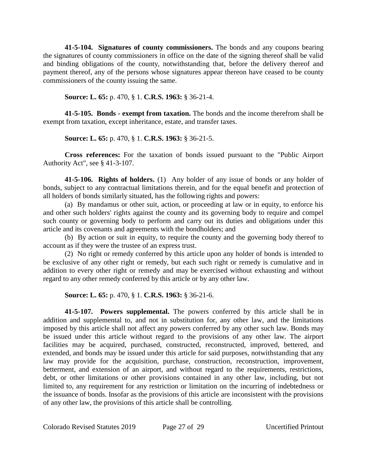**41-5-104. Signatures of county commissioners.** The bonds and any coupons bearing the signatures of county commissioners in office on the date of the signing thereof shall be valid and binding obligations of the county, notwithstanding that, before the delivery thereof and payment thereof, any of the persons whose signatures appear thereon have ceased to be county commissioners of the county issuing the same.

**Source: L. 65:** p. 470, § 1. **C.R.S. 1963:** § 36-21-4.

**41-5-105. Bonds - exempt from taxation.** The bonds and the income therefrom shall be exempt from taxation, except inheritance, estate, and transfer taxes.

**Source: L. 65:** p. 470, § 1. **C.R.S. 1963:** § 36-21-5.

**Cross references:** For the taxation of bonds issued pursuant to the "Public Airport Authority Act", see § 41-3-107.

**41-5-106. Rights of holders.** (1) Any holder of any issue of bonds or any holder of bonds, subject to any contractual limitations therein, and for the equal benefit and protection of all holders of bonds similarly situated, has the following rights and powers:

(a) By mandamus or other suit, action, or proceeding at law or in equity, to enforce his and other such holders' rights against the county and its governing body to require and compel such county or governing body to perform and carry out its duties and obligations under this article and its covenants and agreements with the bondholders; and

(b) By action or suit in equity, to require the county and the governing body thereof to account as if they were the trustee of an express trust.

(2) No right or remedy conferred by this article upon any holder of bonds is intended to be exclusive of any other right or remedy, but each such right or remedy is cumulative and in addition to every other right or remedy and may be exercised without exhausting and without regard to any other remedy conferred by this article or by any other law.

**Source: L. 65:** p. 470, § 1. **C.R.S. 1963:** § 36-21-6.

**41-5-107. Powers supplemental.** The powers conferred by this article shall be in addition and supplemental to, and not in substitution for, any other law, and the limitations imposed by this article shall not affect any powers conferred by any other such law. Bonds may be issued under this article without regard to the provisions of any other law. The airport facilities may be acquired, purchased, constructed, reconstructed, improved, bettered, and extended, and bonds may be issued under this article for said purposes, notwithstanding that any law may provide for the acquisition, purchase, construction, reconstruction, improvement, betterment, and extension of an airport, and without regard to the requirements, restrictions, debt, or other limitations or other provisions contained in any other law, including, but not limited to, any requirement for any restriction or limitation on the incurring of indebtedness or the issuance of bonds. Insofar as the provisions of this article are inconsistent with the provisions of any other law, the provisions of this article shall be controlling.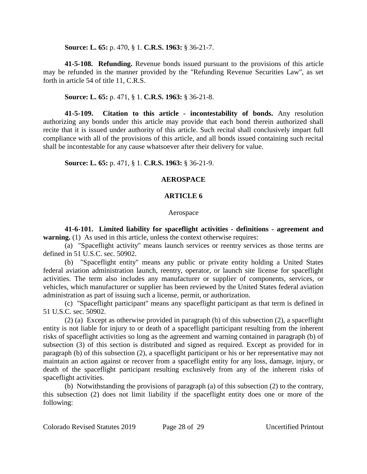**Source: L. 65:** p. 470, § 1. **C.R.S. 1963:** § 36-21-7.

**41-5-108. Refunding.** Revenue bonds issued pursuant to the provisions of this article may be refunded in the manner provided by the "Refunding Revenue Securities Law", as set forth in article 54 of title 11, C.R.S.

**Source: L. 65:** p. 471, § 1. **C.R.S. 1963:** § 36-21-8.

**41-5-109. Citation to this article - incontestability of bonds.** Any resolution authorizing any bonds under this article may provide that each bond therein authorized shall recite that it is issued under authority of this article. Such recital shall conclusively impart full compliance with all of the provisions of this article, and all bonds issued containing such recital shall be incontestable for any cause whatsoever after their delivery for value.

**Source: L. 65:** p. 471, § 1. **C.R.S. 1963:** § 36-21-9.

## **AEROSPACE**

## **ARTICLE 6**

### Aerospace

**41-6-101. Limited liability for spaceflight activities - definitions - agreement and warning.** (1) As used in this article, unless the context otherwise requires:

(a) "Spaceflight activity" means launch services or reentry services as those terms are defined in 51 U.S.C. sec. 50902.

(b) "Spaceflight entity" means any public or private entity holding a United States federal aviation administration launch, reentry, operator, or launch site license for spaceflight activities. The term also includes any manufacturer or supplier of components, services, or vehicles, which manufacturer or supplier has been reviewed by the United States federal aviation administration as part of issuing such a license, permit, or authorization.

(c) "Spaceflight participant" means any spaceflight participant as that term is defined in 51 U.S.C. sec. 50902.

(2) (a) Except as otherwise provided in paragraph (b) of this subsection (2), a spaceflight entity is not liable for injury to or death of a spaceflight participant resulting from the inherent risks of spaceflight activities so long as the agreement and warning contained in paragraph (b) of subsection (3) of this section is distributed and signed as required. Except as provided for in paragraph (b) of this subsection (2), a spaceflight participant or his or her representative may not maintain an action against or recover from a spaceflight entity for any loss, damage, injury, or death of the spaceflight participant resulting exclusively from any of the inherent risks of spaceflight activities.

(b) Notwithstanding the provisions of paragraph (a) of this subsection (2) to the contrary, this subsection (2) does not limit liability if the spaceflight entity does one or more of the following: